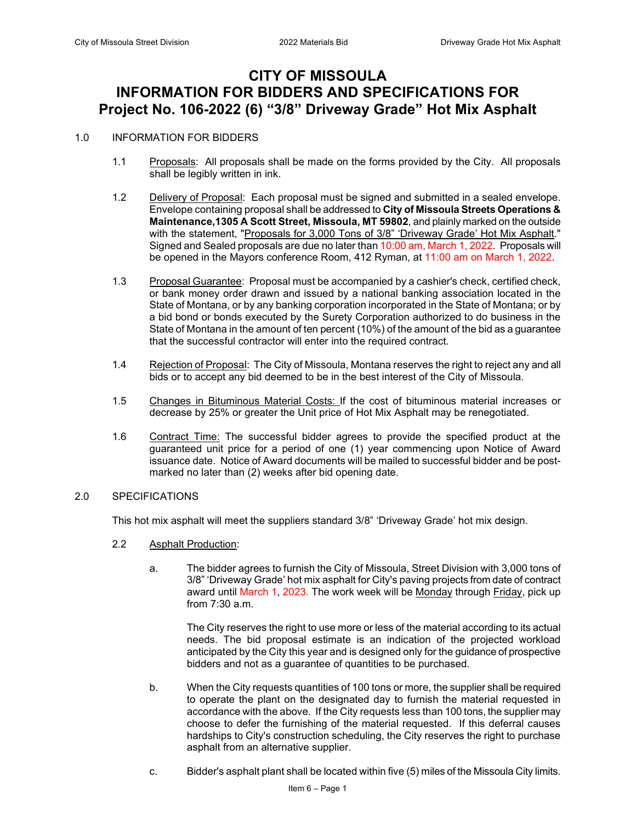# **CITY OF MISSOULA INFORMATION FOR BIDDERS AND SPECIFICATIONS FOR Project No. 106-2022 (6) "3/8" Driveway Grade" Hot Mix Asphalt**

#### 1.0 INFORMATION FOR BIDDERS

- 1.1 Proposals: All proposals shall be made on the forms provided by the City. All proposals shall be legibly written in ink.
- 1.2 Delivery of Proposal: Each proposal must be signed and submitted in a sealed envelope. Envelope containing proposal shall be addressed to **City of Missoula Streets Operations & Maintenance,1305 A Scott Street, Missoula, MT 59802**, and plainly marked on the outside with the statement, "Proposals for 3,000 Tons of 3/8" 'Driveway Grade' Hot Mix Asphalt." Signed and Sealed proposals are due no later than 10:00 am, March 1, 2022. Proposals will be opened in the Mayors conference Room, 412 Ryman, at 11:00 am on March 1, 2022.
- 1.3 Proposal Guarantee: Proposal must be accompanied by a cashier's check, certified check, or bank money order drawn and issued by a national banking association located in the State of Montana, or by any banking corporation incorporated in the State of Montana; or by a bid bond or bonds executed by the Surety Corporation authorized to do business in the State of Montana in the amount of ten percent (10%) of the amount of the bid as a guarantee that the successful contractor will enter into the required contract.
- 1.4 Rejection of Proposal: The City of Missoula, Montana reserves the right to reject any and all bids or to accept any bid deemed to be in the best interest of the City of Missoula.
- 1.5 Changes in Bituminous Material Costs: If the cost of bituminous material increases or decrease by 25% or greater the Unit price of Hot Mix Asphalt may be renegotiated.
- 1.6 Contract Time: The successful bidder agrees to provide the specified product at the guaranteed unit price for a period of one (1) year commencing upon Notice of Award issuance date. Notice of Award documents will be mailed to successful bidder and be postmarked no later than (2) weeks after bid opening date.

#### 2.0 SPECIFICATIONS

This hot mix asphalt will meet the suppliers standard 3/8" 'Driveway Grade' hot mix design.

- 2.2 Asphalt Production:
	- a. The bidder agrees to furnish the City of Missoula, Street Division with 3,000 tons of 3/8" 'Driveway Grade' hot mix asphalt for City's paving projects from date of contract award until March 1, 2023. The work week will be Monday through Friday, pick up from 7:30 a.m.

The City reserves the right to use more or less of the material according to its actual needs. The bid proposal estimate is an indication of the projected workload anticipated by the City this year and is designed only for the guidance of prospective bidders and not as a guarantee of quantities to be purchased.

- b. When the City requests quantities of 100 tons or more, the supplier shall be required to operate the plant on the designated day to furnish the material requested in accordance with the above. If the City requests less than 100 tons, the supplier may choose to defer the furnishing of the material requested. If this deferral causes hardships to City's construction scheduling, the City reserves the right to purchase asphalt from an alternative supplier.
- c. Bidder's asphalt plant shall be located within five (5) miles of the Missoula City limits.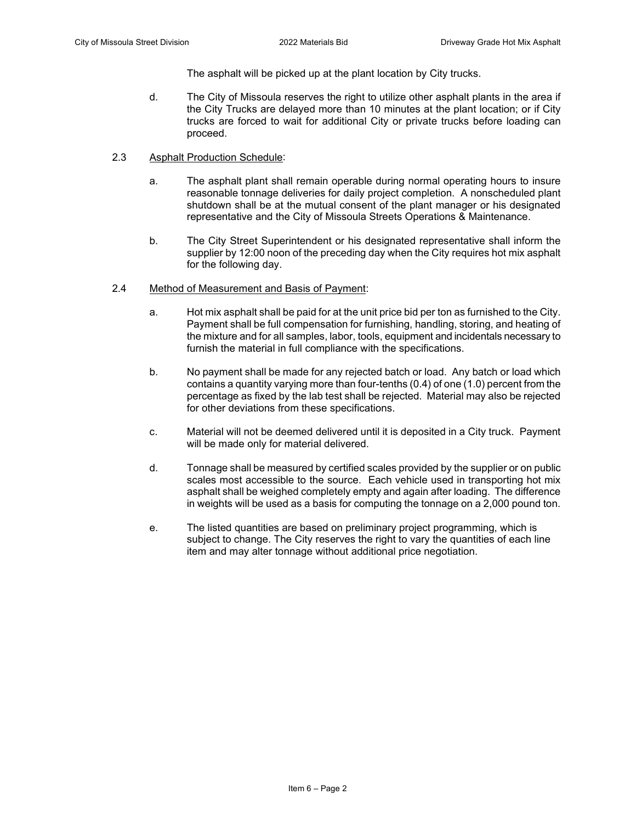The asphalt will be picked up at the plant location by City trucks.

- d. The City of Missoula reserves the right to utilize other asphalt plants in the area if the City Trucks are delayed more than 10 minutes at the plant location; or if City trucks are forced to wait for additional City or private trucks before loading can proceed.
- 2.3 Asphalt Production Schedule:
	- a. The asphalt plant shall remain operable during normal operating hours to insure reasonable tonnage deliveries for daily project completion. A nonscheduled plant shutdown shall be at the mutual consent of the plant manager or his designated representative and the City of Missoula Streets Operations & Maintenance.
	- b. The City Street Superintendent or his designated representative shall inform the supplier by 12:00 noon of the preceding day when the City requires hot mix asphalt for the following day.
- 2.4 Method of Measurement and Basis of Payment:
	- a. Hot mix asphalt shall be paid for at the unit price bid per ton as furnished to the City. Payment shall be full compensation for furnishing, handling, storing, and heating of the mixture and for all samples, labor, tools, equipment and incidentals necessary to furnish the material in full compliance with the specifications.
	- b. No payment shall be made for any rejected batch or load. Any batch or load which contains a quantity varying more than four-tenths (0.4) of one (1.0) percent from the percentage as fixed by the lab test shall be rejected. Material may also be rejected for other deviations from these specifications.
	- c. Material will not be deemed delivered until it is deposited in a City truck. Payment will be made only for material delivered.
	- d. Tonnage shall be measured by certified scales provided by the supplier or on public scales most accessible to the source. Each vehicle used in transporting hot mix asphalt shall be weighed completely empty and again after loading. The difference in weights will be used as a basis for computing the tonnage on a 2,000 pound ton.
	- e. The listed quantities are based on preliminary project programming, which is subject to change. The City reserves the right to vary the quantities of each line item and may alter tonnage without additional price negotiation.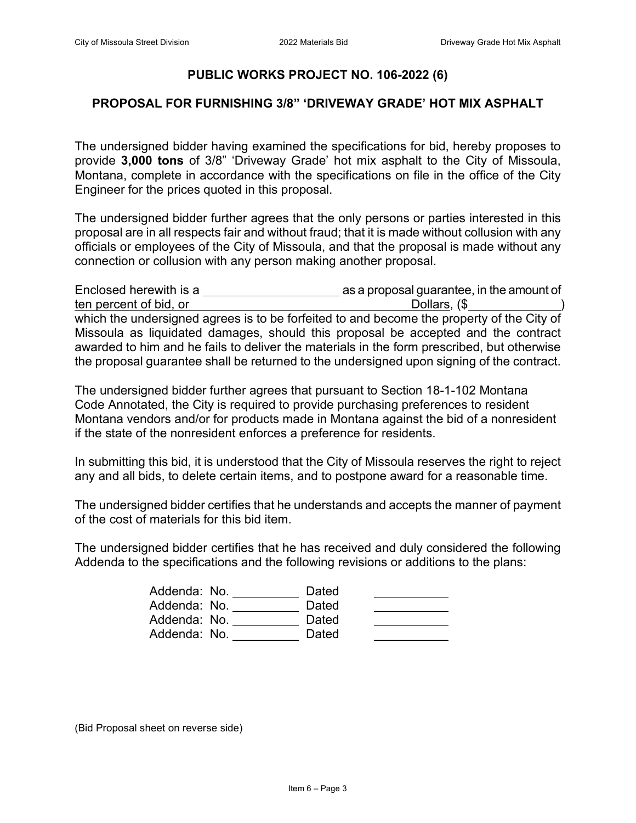### **PUBLIC WORKS PROJECT NO. 106-2022 (6)**

### **PROPOSAL FOR FURNISHING 3/8" 'DRIVEWAY GRADE' HOT MIX ASPHALT**

The undersigned bidder having examined the specifications for bid, hereby proposes to provide **3,000 tons** of 3/8" 'Driveway Grade' hot mix asphalt to the City of Missoula, Montana, complete in accordance with the specifications on file in the office of the City Engineer for the prices quoted in this proposal.

The undersigned bidder further agrees that the only persons or parties interested in this proposal are in all respects fair and without fraud; that it is made without collusion with any officials or employees of the City of Missoula, and that the proposal is made without any connection or collusion with any person making another proposal.

| Enclosed herewith is a                                                                     | as a proposal guarantee, in the amount of |
|--------------------------------------------------------------------------------------------|-------------------------------------------|
| ten percent of bid, or                                                                     | Dollars, (\$                              |
| which the undersigned agrees is to be forfeited to and become the property of the City of  |                                           |
| Missoula as liquidated damages, should this proposal be accepted and the contract          |                                           |
| awarded to him and he fails to deliver the materials in the form prescribed, but otherwise |                                           |
| the proposal guarantee shall be returned to the undersigned upon signing of the contract.  |                                           |

The undersigned bidder further agrees that pursuant to Section 18-1-102 Montana Code Annotated, the City is required to provide purchasing preferences to resident Montana vendors and/or for products made in Montana against the bid of a nonresident if the state of the nonresident enforces a preference for residents.

In submitting this bid, it is understood that the City of Missoula reserves the right to reject any and all bids, to delete certain items, and to postpone award for a reasonable time.

The undersigned bidder certifies that he understands and accepts the manner of payment of the cost of materials for this bid item.

The undersigned bidder certifies that he has received and duly considered the following Addenda to the specifications and the following revisions or additions to the plans:

| Addenda: No. | Dated |  |
|--------------|-------|--|
| Addenda: No. | Dated |  |
| Addenda: No. | Dated |  |
| Addenda: No. | Dated |  |

(Bid Proposal sheet on reverse side)